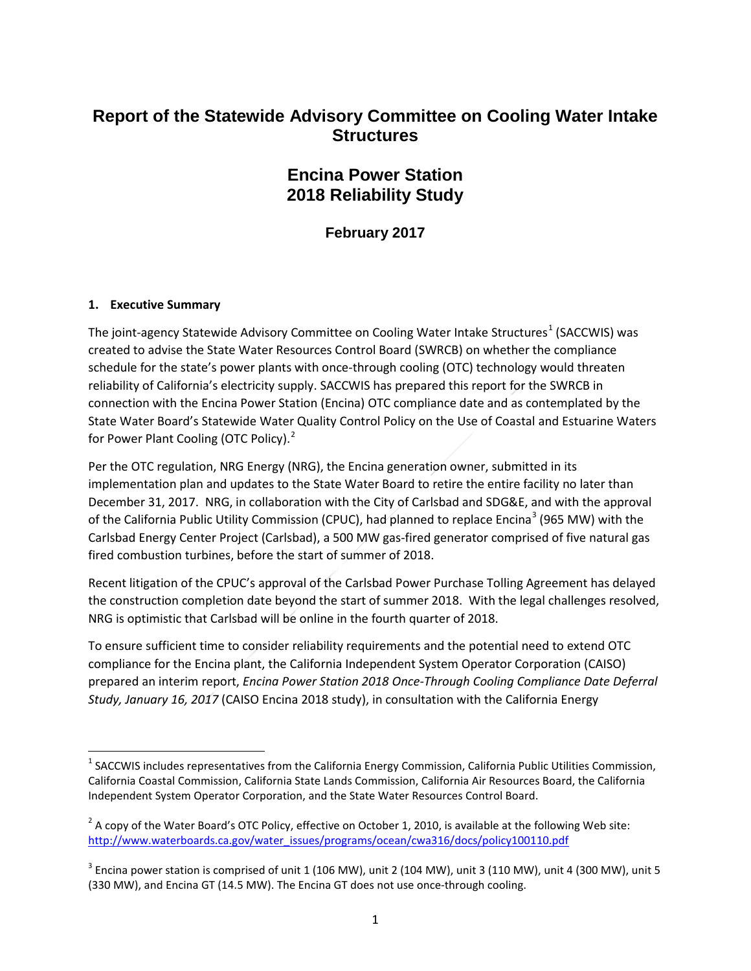## **Report of the Statewide Advisory Committee on Cooling Water Intake Structures**

## **Encina Power Station 2018 Reliability Study**

**February 2017**

#### **1. Executive Summary**

The joint-agency Statewide Advisory Committee on Cooling Water Intake Structures<sup>[1](#page-0-0)</sup> (SACCWIS) was created to advise the State Water Resources Control Board (SWRCB) on whether the compliance schedule for the state's power plants with once-through cooling (OTC) technology would threaten reliability of California's electricity supply. SACCWIS has prepared this report for the SWRCB in connection with the Encina Power Station (Encina) OTC compliance date and as contemplated by the State Water Board's Statewide Water Quality Control Policy on the Use of Coastal and Estuarine Waters for Power Plant Cooling (OTC Policy).<sup>[2](#page-0-1)</sup>

Per the OTC regulation, NRG Energy (NRG), the Encina generation owner, submitted in its implementation plan and updates to the State Water Board to retire the entire facility no later than December 31, 2017. NRG, in collaboration with the City of Carlsbad and SDG&E, and with the approval of the California Public Utility Commission (CPUC), had planned to replace Encina<sup>[3](#page-0-2)</sup> (965 MW) with the Carlsbad Energy Center Project (Carlsbad), a 500 MW gas-fired generator comprised of five natural gas fired combustion turbines, before the start of summer of 2018.

Recent litigation of the CPUC's approval of the Carlsbad Power Purchase Tolling Agreement has delayed the construction completion date beyond the start of summer 2018. With the legal challenges resolved, NRG is optimistic that Carlsbad will be online in the fourth quarter of 2018.

To ensure sufficient time to consider reliability requirements and the potential need to extend OTC compliance for the Encina plant, the California Independent System Operator Corporation (CAISO) prepared an interim report, *Encina Power Station 2018 Once-Through Cooling Compliance Date Deferral Study, January 16, 2017* (CAISO Encina 2018 study), in consultation with the California Energy

<span id="page-0-0"></span><sup>&</sup>lt;sup>1</sup> SACCWIS includes representatives from the California Energy Commission, California Public Utilities Commission, California Coastal Commission, California State Lands Commission, California Air Resources Board, the California Independent System Operator Corporation, and the State Water Resources Control Board.

<span id="page-0-1"></span> $^2$  A copy of the Water Board's OTC Policy, effective on October 1, 2010, is available at the following Web site: [http://www.waterboards.ca.gov/water\\_issues/programs/ocean/cwa316/docs/policy100110.pdf](http://www.waterboards.ca.gov/water_issues/programs/ocean/cwa316/docs/policy100110.pdf)

<span id="page-0-2"></span> $3$  Encina power station is comprised of unit 1 (106 MW), unit 2 (104 MW), unit 3 (110 MW), unit 4 (300 MW), unit 5 (330 MW), and Encina GT (14.5 MW). The Encina GT does not use once-through cooling.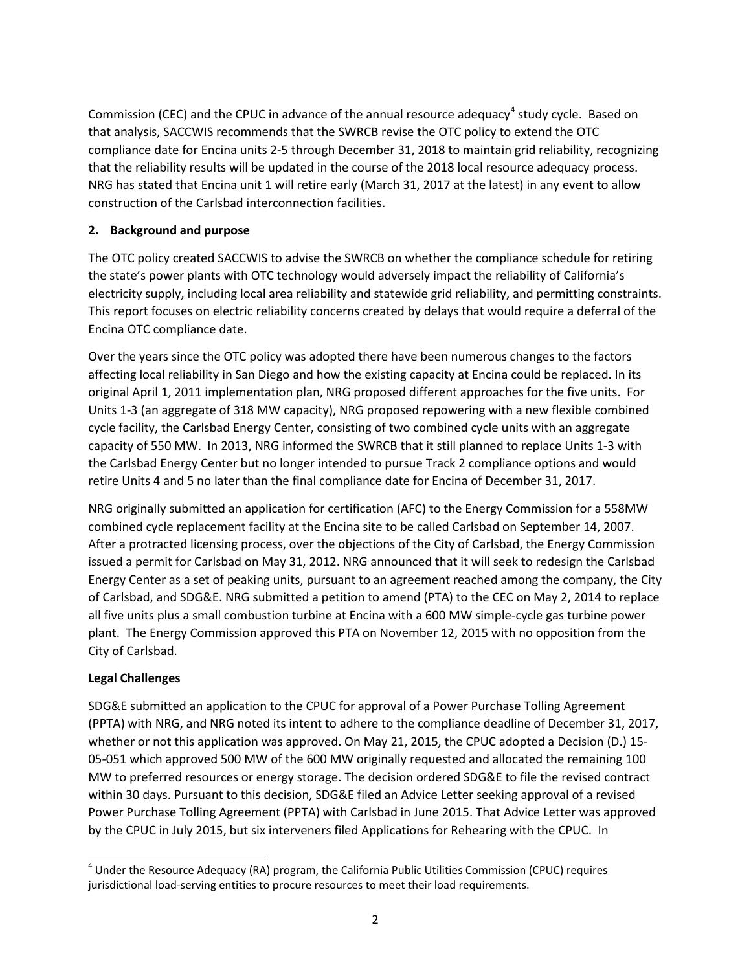Commission (CEC) and the CPUC in advance of the annual resource adequacy<sup>[4](#page-1-0)</sup> study cycle. Based on that analysis, SACCWIS recommends that the SWRCB revise the OTC policy to extend the OTC compliance date for Encina units 2-5 through December 31, 2018 to maintain grid reliability, recognizing that the reliability results will be updated in the course of the 2018 local resource adequacy process. NRG has stated that Encina unit 1 will retire early (March 31, 2017 at the latest) in any event to allow construction of the Carlsbad interconnection facilities.

#### **2. Background and purpose**

The OTC policy created SACCWIS to advise the SWRCB on whether the compliance schedule for retiring the state's power plants with OTC technology would adversely impact the reliability of California's electricity supply, including local area reliability and statewide grid reliability, and permitting constraints. This report focuses on electric reliability concerns created by delays that would require a deferral of the Encina OTC compliance date.

Over the years since the OTC policy was adopted there have been numerous changes to the factors affecting local reliability in San Diego and how the existing capacity at Encina could be replaced. In its original April 1, 2011 implementation plan, NRG proposed different approaches for the five units. For Units 1-3 (an aggregate of 318 MW capacity), NRG proposed repowering with a new flexible combined cycle facility, the Carlsbad Energy Center, consisting of two combined cycle units with an aggregate capacity of 550 MW. In 2013, NRG informed the SWRCB that it still planned to replace Units 1-3 with the Carlsbad Energy Center but no longer intended to pursue Track 2 compliance options and would retire Units 4 and 5 no later than the final compliance date for Encina of December 31, 2017.

NRG originally submitted an application for certification (AFC) to the Energy Commission for a 558MW combined cycle replacement facility at the Encina site to be called Carlsbad on September 14, 2007. After a protracted licensing process, over the objections of the City of Carlsbad, the Energy Commission issued a permit for Carlsbad on May 31, 2012. NRG announced that it will seek to redesign the Carlsbad Energy Center as a set of peaking units, pursuant to an agreement reached among the company, the City of Carlsbad, and SDG&E. NRG submitted a petition to amend (PTA) to the CEC on May 2, 2014 to replace all five units plus a small combustion turbine at Encina with a 600 MW simple-cycle gas turbine power plant. The Energy Commission approved this PTA on November 12, 2015 with no opposition from the City of Carlsbad.

#### **Legal Challenges**

SDG&E submitted an application to the CPUC for approval of a Power Purchase Tolling Agreement (PPTA) with NRG, and NRG noted its intent to adhere to the compliance deadline of December 31, 2017, whether or not this application was approved. On May 21, 2015, the CPUC adopted a Decision (D.) 15-05-051 which approved 500 MW of the 600 MW originally requested and allocated the remaining 100 MW to preferred resources or energy storage. The decision ordered SDG&E to file the revised contract within 30 days. Pursuant to this decision, SDG&E filed an Advice Letter seeking approval of a revised Power Purchase Tolling Agreement (PPTA) with Carlsbad in June 2015. That Advice Letter was approved by the CPUC in July 2015, but six interveners filed Applications for Rehearing with the CPUC. In

<span id="page-1-0"></span><sup>&</sup>lt;sup>4</sup> Under the Resource Adequacy (RA) program, the California Public Utilities Commission (CPUC) requires jurisdictional load-serving entities to procure resources to meet their load requirements.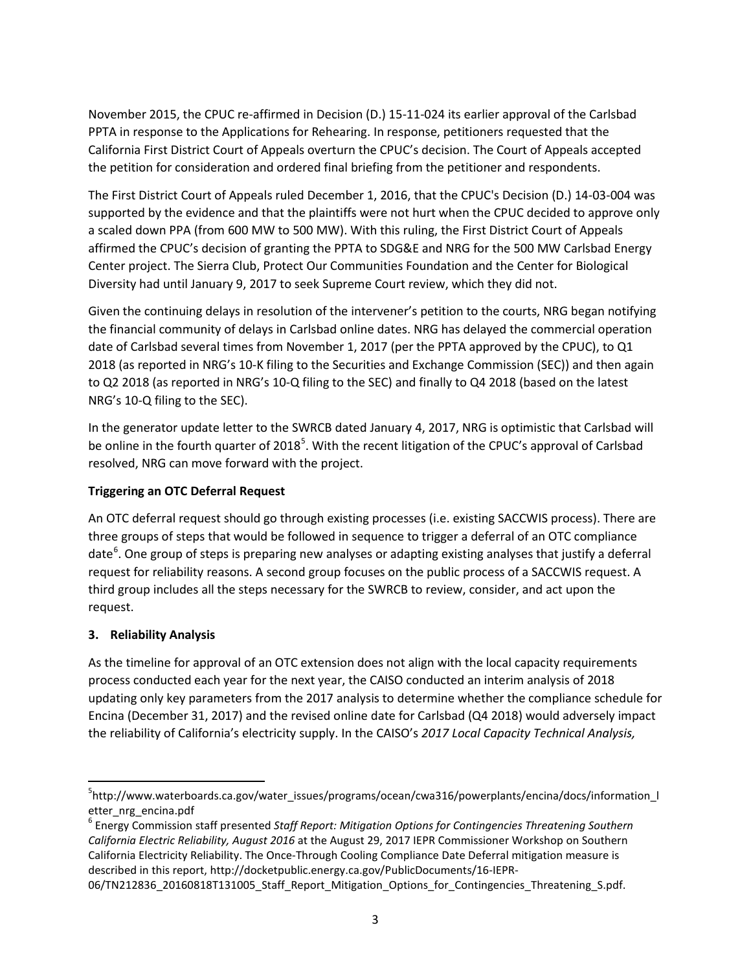November 2015, the CPUC re-affirmed in Decision (D.) 15-11-024 its earlier approval of the Carlsbad PPTA in response to the Applications for Rehearing. In response, petitioners requested that the California First District Court of Appeals overturn the CPUC's decision. The Court of Appeals accepted the petition for consideration and ordered final briefing from the petitioner and respondents.

The First District Court of Appeals ruled December 1, 2016, that the CPUC's Decision (D.) 14-03-004 was supported by the evidence and that the plaintiffs were not hurt when the CPUC decided to approve only a scaled down PPA (from 600 MW to 500 MW). With this ruling, the First District Court of Appeals affirmed the CPUC's decision of granting the PPTA to SDG&E and NRG for the 500 MW Carlsbad Energy Center project. The Sierra Club, Protect Our Communities Foundation and the Center for Biological Diversity had until January 9, 2017 to seek Supreme Court review, which they did not.

Given the continuing delays in resolution of the intervener's petition to the courts, NRG began notifying the financial community of delays in Carlsbad online dates. NRG has delayed the commercial operation date of Carlsbad several times from November 1, 2017 (per the PPTA approved by the CPUC), to Q1 2018 (as reported in NRG's 10-K filing to the Securities and Exchange Commission (SEC)) and then again to Q2 2018 (as reported in NRG's 10-Q filing to the SEC) and finally to Q4 2018 (based on the latest NRG's 10-Q filing to the SEC).

In the generator update letter to the SWRCB dated January 4, 2017, NRG is optimistic that Carlsbad will be online in the fourth quarter of 2018<sup>[5](#page-2-0)</sup>. With the recent litigation of the CPUC's approval of Carlsbad resolved, NRG can move forward with the project.

#### **Triggering an OTC Deferral Request**

An OTC deferral request should go through existing processes (i.e. existing SACCWIS process). There are three groups of steps that would be followed in sequence to trigger a deferral of an OTC compliance date<sup>[6](#page-2-1)</sup>. One group of steps is preparing new analyses or adapting existing analyses that justify a deferral request for reliability reasons. A second group focuses on the public process of a SACCWIS request. A third group includes all the steps necessary for the SWRCB to review, consider, and act upon the request.

#### **3. Reliability Analysis**

As the timeline for approval of an OTC extension does not align with the local capacity requirements process conducted each year for the next year, the CAISO conducted an interim analysis of 2018 updating only key parameters from the 2017 analysis to determine whether the compliance schedule for Encina (December 31, 2017) and the revised online date for Carlsbad (Q4 2018) would adversely impact the reliability of California's electricity supply. In the CAISO's *2017 Local Capacity Technical Analysis,* 

<span id="page-2-0"></span><sup>-&</sup>lt;br>5 http://www.waterboards.ca.gov/water\_issues/programs/ocean/cwa316/powerplants/encina/docs/information\_l etter\_nrg\_encina.pdf

<span id="page-2-1"></span><sup>6</sup> Energy Commission staff presented *Staff Report: Mitigation Options for Contingencies Threatening Southern California Electric Reliability, August 2016* at the August 29, 2017 IEPR Commissioner Workshop on Southern California Electricity Reliability. The Once-Through Cooling Compliance Date Deferral mitigation measure is described in this report, http://docketpublic.energy.ca.gov/PublicDocuments/16-IEPR-

<sup>06/</sup>TN212836\_20160818T131005\_Staff\_Report\_Mitigation\_Options\_for\_Contingencies\_Threatening\_S.pdf.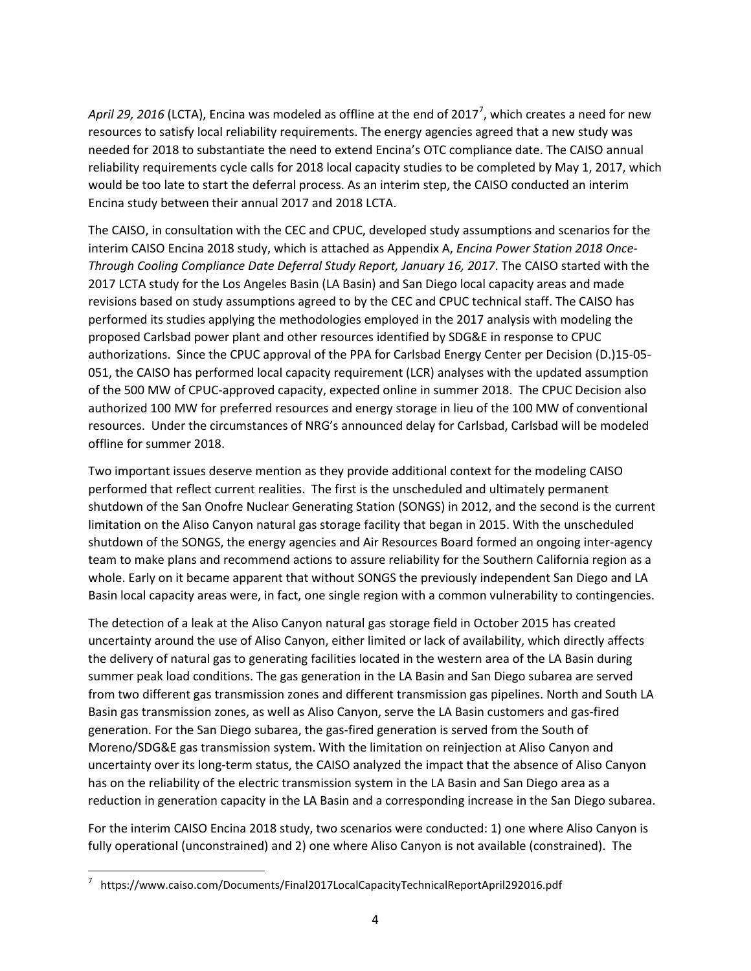April 29, 2016 (LCTA), Encina was modeled as offline at the end of 201[7](#page-3-0)<sup>7</sup>, which creates a need for new resources to satisfy local reliability requirements. The energy agencies agreed that a new study was needed for 2018 to substantiate the need to extend Encina's OTC compliance date. The CAISO annual reliability requirements cycle calls for 2018 local capacity studies to be completed by May 1, 2017, which would be too late to start the deferral process. As an interim step, the CAISO conducted an interim Encina study between their annual 2017 and 2018 LCTA.

The CAISO, in consultation with the CEC and CPUC, developed study assumptions and scenarios for the interim CAISO Encina 2018 study, which is attached as Appendix A, *Encina Power Station 2018 Once-Through Cooling Compliance Date Deferral Study Report, January 16, 2017*. The CAISO started with the 2017 LCTA study for the Los Angeles Basin (LA Basin) and San Diego local capacity areas and made revisions based on study assumptions agreed to by the CEC and CPUC technical staff. The CAISO has performed its studies applying the methodologies employed in the 2017 analysis with modeling the proposed Carlsbad power plant and other resources identified by SDG&E in response to CPUC authorizations. Since the CPUC approval of the PPA for Carlsbad Energy Center per Decision (D.)15-05- 051, the CAISO has performed local capacity requirement (LCR) analyses with the updated assumption of the 500 MW of CPUC-approved capacity, expected online in summer 2018. The CPUC Decision also authorized 100 MW for preferred resources and energy storage in lieu of the 100 MW of conventional resources. Under the circumstances of NRG's announced delay for Carlsbad, Carlsbad will be modeled offline for summer 2018.

Two important issues deserve mention as they provide additional context for the modeling CAISO performed that reflect current realities. The first is the unscheduled and ultimately permanent shutdown of the San Onofre Nuclear Generating Station (SONGS) in 2012, and the second is the current limitation on the Aliso Canyon natural gas storage facility that began in 2015. With the unscheduled shutdown of the SONGS, the energy agencies and Air Resources Board formed an ongoing inter-agency team to make plans and recommend actions to assure reliability for the Southern California region as a whole. Early on it became apparent that without SONGS the previously independent San Diego and LA Basin local capacity areas were, in fact, one single region with a common vulnerability to contingencies.

The detection of a leak at the Aliso Canyon natural gas storage field in October 2015 has created uncertainty around the use of Aliso Canyon, either limited or lack of availability, which directly affects the delivery of natural gas to generating facilities located in the western area of the LA Basin during summer peak load conditions. The gas generation in the LA Basin and San Diego subarea are served from two different gas transmission zones and different transmission gas pipelines. North and South LA Basin gas transmission zones, as well as Aliso Canyon, serve the LA Basin customers and gas-fired generation. For the San Diego subarea, the gas-fired generation is served from the South of Moreno/SDG&E gas transmission system. With the limitation on reinjection at Aliso Canyon and uncertainty over its long-term status, the CAISO analyzed the impact that the absence of Aliso Canyon has on the reliability of the electric transmission system in the LA Basin and San Diego area as a reduction in generation capacity in the LA Basin and a corresponding increase in the San Diego subarea.

For the interim CAISO Encina 2018 study, two scenarios were conducted: 1) one where Aliso Canyon is fully operational (unconstrained) and 2) one where Aliso Canyon is not available (constrained). The

<span id="page-3-0"></span> <sup>7</sup> https://www.caiso.com/Documents/Final2017LocalCapacityTechnicalReportApril292016.pdf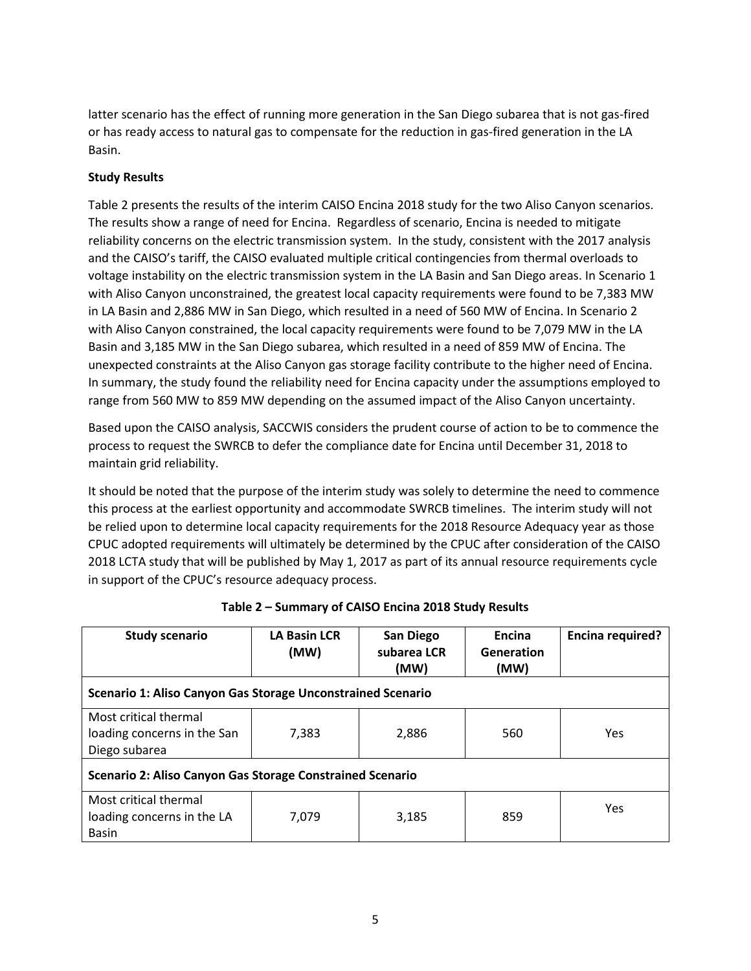latter scenario has the effect of running more generation in the San Diego subarea that is not gas-fired or has ready access to natural gas to compensate for the reduction in gas-fired generation in the LA Basin.

#### **Study Results**

Table 2 presents the results of the interim CAISO Encina 2018 study for the two Aliso Canyon scenarios. The results show a range of need for Encina. Regardless of scenario, Encina is needed to mitigate reliability concerns on the electric transmission system. In the study, consistent with the 2017 analysis and the CAISO's tariff, the CAISO evaluated multiple critical contingencies from thermal overloads to voltage instability on the electric transmission system in the LA Basin and San Diego areas. In Scenario 1 with Aliso Canyon unconstrained, the greatest local capacity requirements were found to be 7,383 MW in LA Basin and 2,886 MW in San Diego, which resulted in a need of 560 MW of Encina. In Scenario 2 with Aliso Canyon constrained, the local capacity requirements were found to be 7,079 MW in the LA Basin and 3,185 MW in the San Diego subarea, which resulted in a need of 859 MW of Encina. The unexpected constraints at the Aliso Canyon gas storage facility contribute to the higher need of Encina. In summary, the study found the reliability need for Encina capacity under the assumptions employed to range from 560 MW to 859 MW depending on the assumed impact of the Aliso Canyon uncertainty.

Based upon the CAISO analysis, SACCWIS considers the prudent course of action to be to commence the process to request the SWRCB to defer the compliance date for Encina until December 31, 2018 to maintain grid reliability.

It should be noted that the purpose of the interim study was solely to determine the need to commence this process at the earliest opportunity and accommodate SWRCB timelines. The interim study will not be relied upon to determine local capacity requirements for the 2018 Resource Adequacy year as those CPUC adopted requirements will ultimately be determined by the CPUC after consideration of the CAISO 2018 LCTA study that will be published by May 1, 2017 as part of its annual resource requirements cycle in support of the CPUC's resource adequacy process.

| <b>Study scenario</b>                                                 | <b>LA Basin LCR</b><br>(MW) | San Diego<br>subarea LCR<br>(MW) | Encina<br>Generation<br>(MW) | <b>Encina required?</b> |  |  |  |  |
|-----------------------------------------------------------------------|-----------------------------|----------------------------------|------------------------------|-------------------------|--|--|--|--|
| Scenario 1: Aliso Canyon Gas Storage Unconstrained Scenario           |                             |                                  |                              |                         |  |  |  |  |
| Most critical thermal<br>loading concerns in the San<br>Diego subarea | 7,383                       | 2,886                            | 560                          | <b>Yes</b>              |  |  |  |  |
| Scenario 2: Aliso Canyon Gas Storage Constrained Scenario             |                             |                                  |                              |                         |  |  |  |  |
| Most critical thermal<br>loading concerns in the LA<br><b>Basin</b>   | 7,079                       | 3,185                            | 859                          | Yes                     |  |  |  |  |

| Table 2 – Summary of CAISO Encina 2018 Study Results |  |  |  |
|------------------------------------------------------|--|--|--|
|------------------------------------------------------|--|--|--|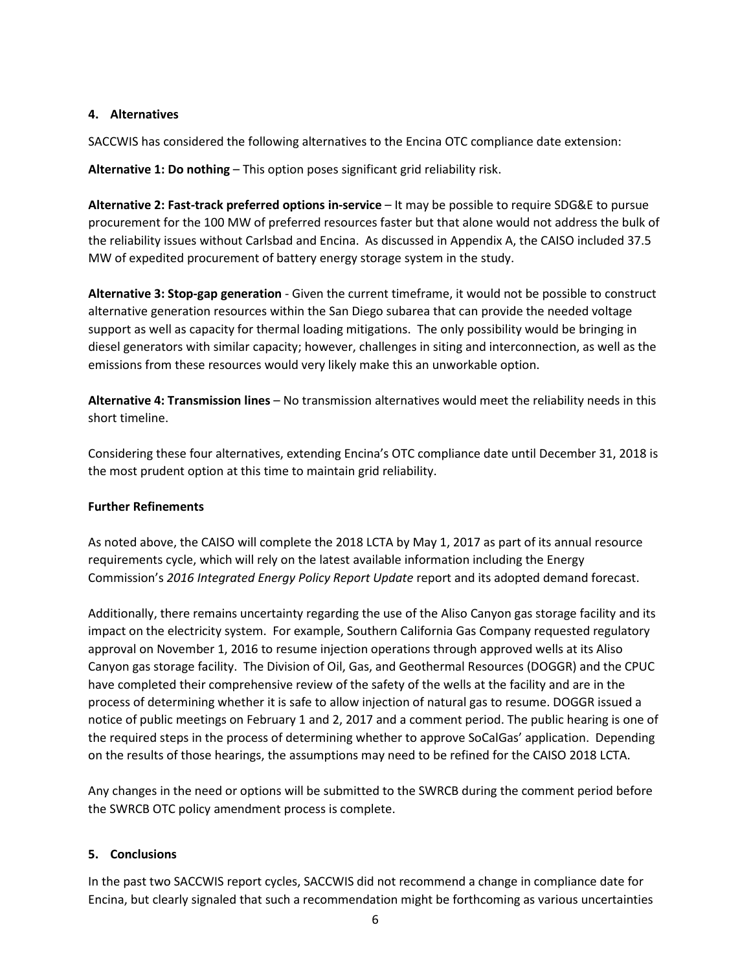#### **4. Alternatives**

SACCWIS has considered the following alternatives to the Encina OTC compliance date extension:

**Alternative 1: Do nothing** – This option poses significant grid reliability risk.

**Alternative 2: Fast-track preferred options in-service** – It may be possible to require SDG&E to pursue procurement for the 100 MW of preferred resources faster but that alone would not address the bulk of the reliability issues without Carlsbad and Encina. As discussed in Appendix A, the CAISO included 37.5 MW of expedited procurement of battery energy storage system in the study.

**Alternative 3: Stop-gap generation** - Given the current timeframe, it would not be possible to construct alternative generation resources within the San Diego subarea that can provide the needed voltage support as well as capacity for thermal loading mitigations. The only possibility would be bringing in diesel generators with similar capacity; however, challenges in siting and interconnection, as well as the emissions from these resources would very likely make this an unworkable option.

**Alternative 4: Transmission lines** – No transmission alternatives would meet the reliability needs in this short timeline.

Considering these four alternatives, extending Encina's OTC compliance date until December 31, 2018 is the most prudent option at this time to maintain grid reliability.

#### **Further Refinements**

As noted above, the CAISO will complete the 2018 LCTA by May 1, 2017 as part of its annual resource requirements cycle, which will rely on the latest available information including the Energy Commission's *2016 Integrated Energy Policy Report Update* report and its adopted demand forecast.

Additionally, there remains uncertainty regarding the use of the Aliso Canyon gas storage facility and its impact on the electricity system. For example, Southern California Gas Company requested regulatory approval on November 1, 2016 to resume injection operations through approved wells at its Aliso Canyon gas storage facility. The Division of Oil, Gas, and Geothermal Resources (DOGGR) and the CPUC have completed their comprehensive review of the safety of the wells at the facility and are in the process of determining whether it is safe to allow injection of natural gas to resume. DOGGR issued a notice of public meetings on February 1 and 2, 2017 and a comment period. The public hearing is one of the required steps in the process of determining whether to approve SoCalGas' application. Depending on the results of those hearings, the assumptions may need to be refined for the CAISO 2018 LCTA.

Any changes in the need or options will be submitted to the SWRCB during the comment period before the SWRCB OTC policy amendment process is complete.

#### **5. Conclusions**

In the past two SACCWIS report cycles, SACCWIS did not recommend a change in compliance date for Encina, but clearly signaled that such a recommendation might be forthcoming as various uncertainties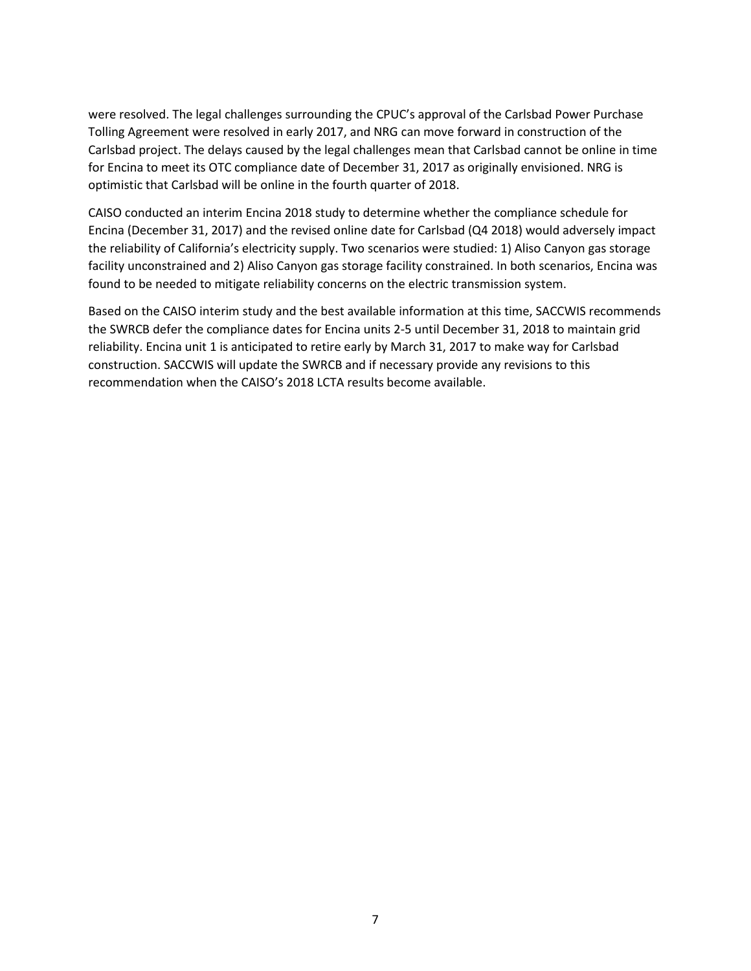were resolved. The legal challenges surrounding the CPUC's approval of the Carlsbad Power Purchase Tolling Agreement were resolved in early 2017, and NRG can move forward in construction of the Carlsbad project. The delays caused by the legal challenges mean that Carlsbad cannot be online in time for Encina to meet its OTC compliance date of December 31, 2017 as originally envisioned. NRG is optimistic that Carlsbad will be online in the fourth quarter of 2018.

CAISO conducted an interim Encina 2018 study to determine whether the compliance schedule for Encina (December 31, 2017) and the revised online date for Carlsbad (Q4 2018) would adversely impact the reliability of California's electricity supply. Two scenarios were studied: 1) Aliso Canyon gas storage facility unconstrained and 2) Aliso Canyon gas storage facility constrained. In both scenarios, Encina was found to be needed to mitigate reliability concerns on the electric transmission system.

Based on the CAISO interim study and the best available information at this time, SACCWIS recommends the SWRCB defer the compliance dates for Encina units 2-5 until December 31, 2018 to maintain grid reliability. Encina unit 1 is anticipated to retire early by March 31, 2017 to make way for Carlsbad construction. SACCWIS will update the SWRCB and if necessary provide any revisions to this recommendation when the CAISO's 2018 LCTA results become available.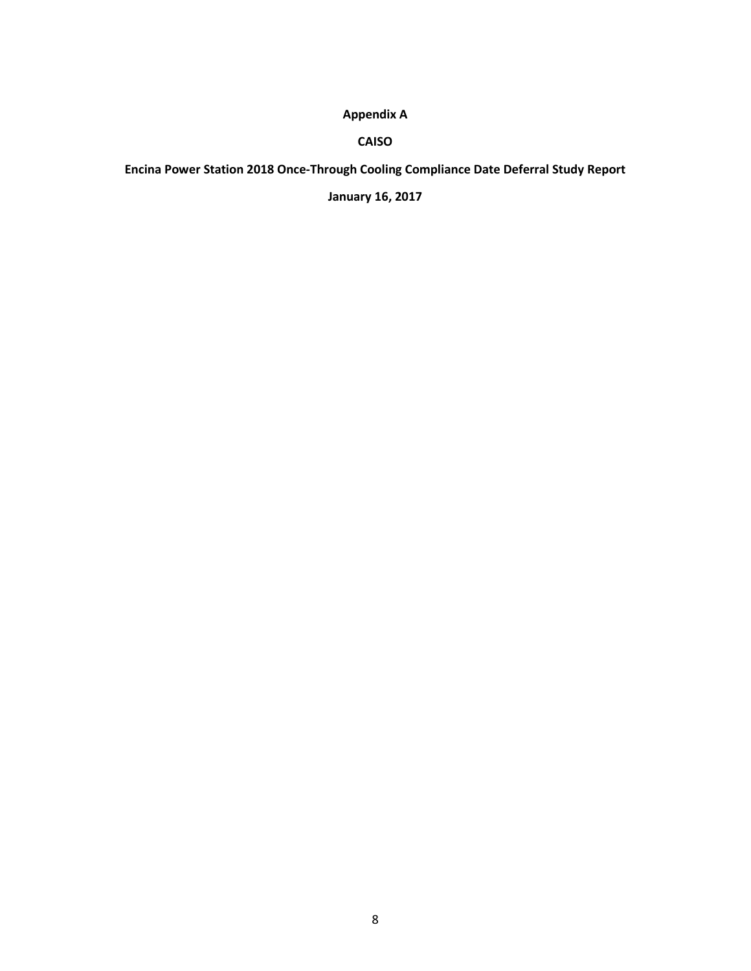## **Appendix A**

#### **CAISO**

**Encina Power Station 2018 Once-Through Cooling Compliance Date Deferral Study Report** 

**January 16, 2017**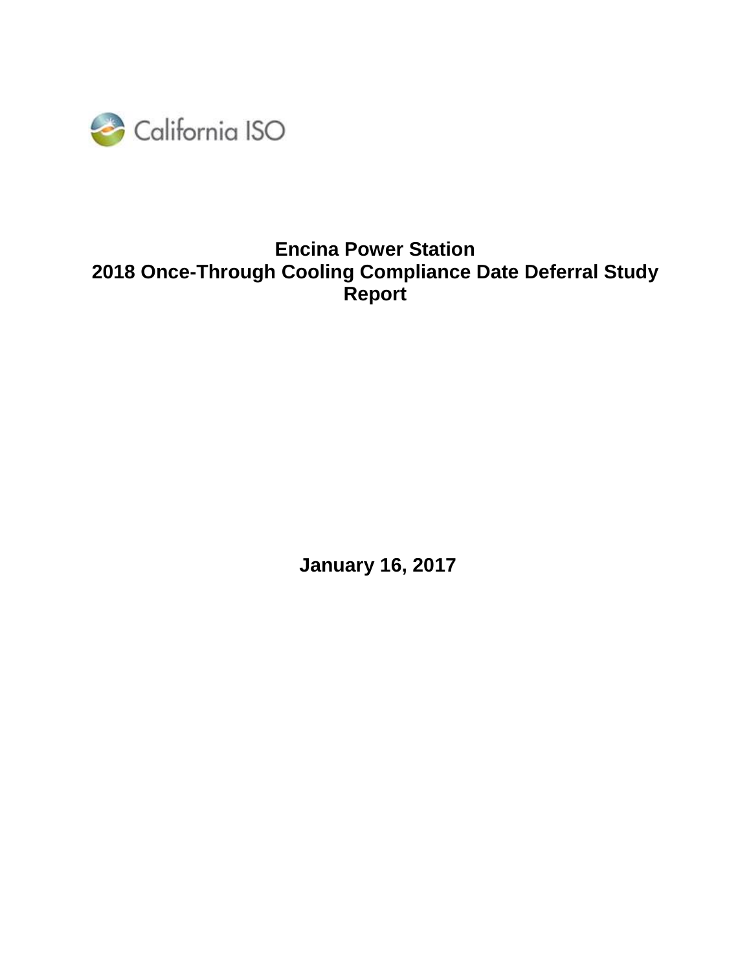

# **Encina Power Station 2018 Once-Through Cooling Compliance Date Deferral Study Report**

**January 16, 2017**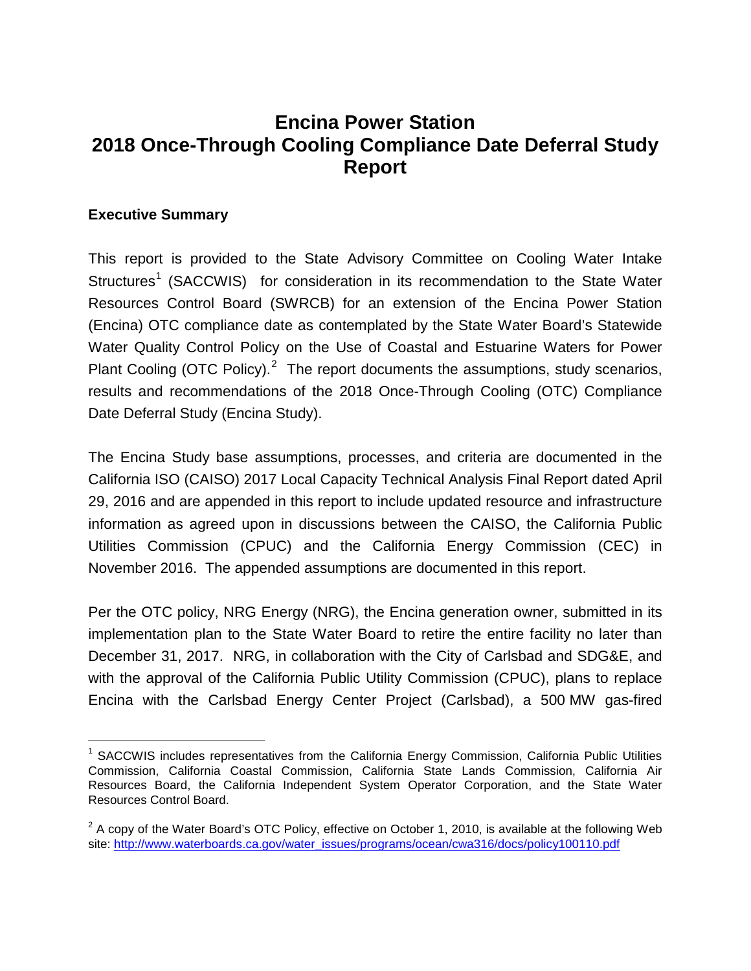# **Encina Power Station 2018 Once-Through Cooling Compliance Date Deferral Study Report**

## **Executive Summary**

This report is provided to the State Advisory Committee on Cooling Water Intake Structures<sup>[1](#page-9-0)</sup> (SACCWIS) for consideration in its recommendation to the State Water Resources Control Board (SWRCB) for an extension of the Encina Power Station (Encina) OTC compliance date as contemplated by the State Water Board's Statewide Water Quality Control Policy on the Use of Coastal and Estuarine Waters for Power Plant Cooling (OTC Policy).<sup>[2](#page-9-1)</sup> The report documents the assumptions, study scenarios, results and recommendations of the 2018 Once-Through Cooling (OTC) Compliance Date Deferral Study (Encina Study).

The Encina Study base assumptions, processes, and criteria are documented in the California ISO (CAISO) 2017 Local Capacity Technical Analysis Final Report dated April 29, 2016 and are appended in this report to include updated resource and infrastructure information as agreed upon in discussions between the CAISO, the California Public Utilities Commission (CPUC) and the California Energy Commission (CEC) in November 2016. The appended assumptions are documented in this report.

Per the OTC policy, NRG Energy (NRG), the Encina generation owner, submitted in its implementation plan to the State Water Board to retire the entire facility no later than December 31, 2017. NRG, in collaboration with the City of Carlsbad and SDG&E, and with the approval of the California Public Utility Commission (CPUC), plans to replace Encina with the Carlsbad Energy Center Project (Carlsbad), a 500 MW gas-fired

<span id="page-9-0"></span><sup>&</sup>lt;sup>1</sup> SACCWIS includes representatives from the California Energy Commission, California Public Utilities Commission, California Coastal Commission, California State Lands Commission, California Air Resources Board, the California Independent System Operator Corporation, and the State Water Resources Control Board.

<span id="page-9-1"></span> $2$  A copy of the Water Board's OTC Policy, effective on October 1, 2010, is available at the following Web site: [http://www.waterboards.ca.gov/water\\_issues/programs/ocean/cwa316/docs/policy100110.pdf](http://www.waterboards.ca.gov/water_issues/programs/ocean/cwa316/docs/policy100110.pdf)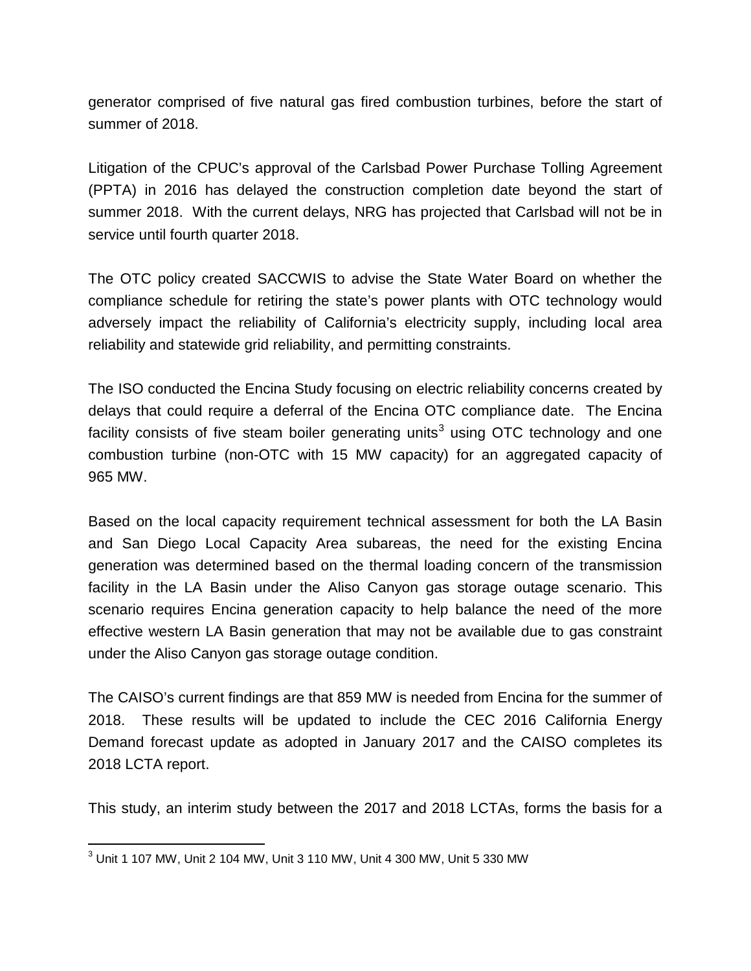generator comprised of five natural gas fired combustion turbines, before the start of summer of 2018.

Litigation of the CPUC's approval of the Carlsbad Power Purchase Tolling Agreement (PPTA) in 2016 has delayed the construction completion date beyond the start of summer 2018. With the current delays, NRG has projected that Carlsbad will not be in service until fourth quarter 2018.

The OTC policy created SACCWIS to advise the State Water Board on whether the compliance schedule for retiring the state's power plants with OTC technology would adversely impact the reliability of California's electricity supply, including local area reliability and statewide grid reliability, and permitting constraints.

The ISO conducted the Encina Study focusing on electric reliability concerns created by delays that could require a deferral of the Encina OTC compliance date. The Encina facility consists of five steam boiler generating units<sup>[3](#page-10-0)</sup> using OTC technology and one combustion turbine (non-OTC with 15 MW capacity) for an aggregated capacity of 965 MW.

Based on the local capacity requirement technical assessment for both the LA Basin and San Diego Local Capacity Area subareas, the need for the existing Encina generation was determined based on the thermal loading concern of the transmission facility in the LA Basin under the Aliso Canyon gas storage outage scenario. This scenario requires Encina generation capacity to help balance the need of the more effective western LA Basin generation that may not be available due to gas constraint under the Aliso Canyon gas storage outage condition.

The CAISO's current findings are that 859 MW is needed from Encina for the summer of 2018. These results will be updated to include the CEC 2016 California Energy Demand forecast update as adopted in January 2017 and the CAISO completes its 2018 LCTA report.

This study, an interim study between the 2017 and 2018 LCTAs, forms the basis for a

<span id="page-10-0"></span><sup>3</sup> Unit 1 107 MW, Unit 2 104 MW, Unit 3 110 MW, Unit 4 300 MW, Unit 5 330 MW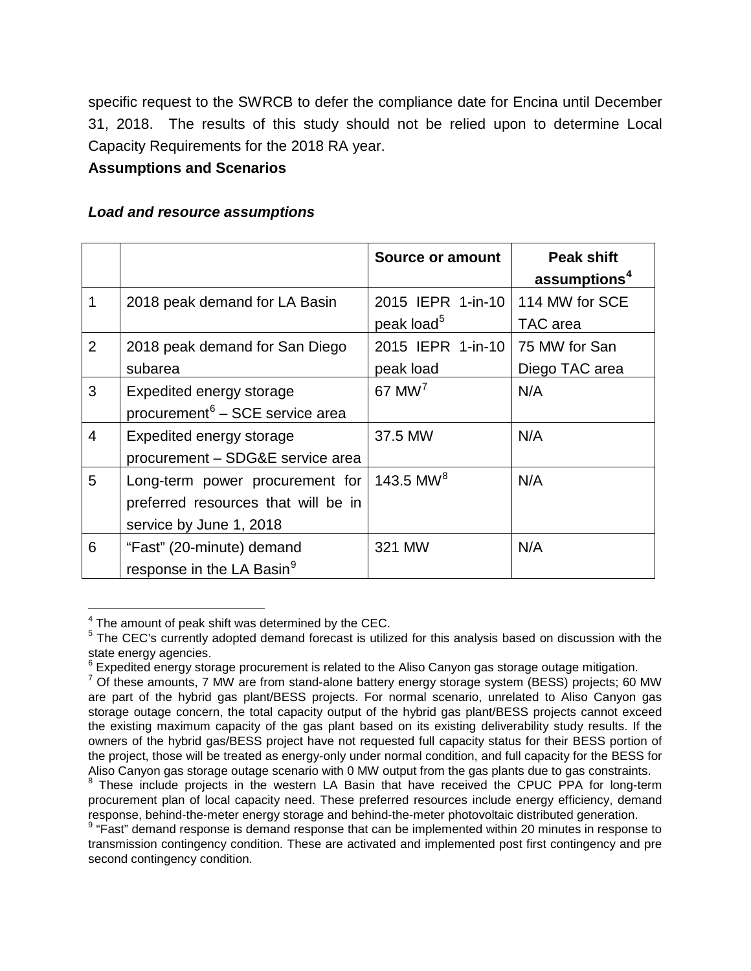specific request to the SWRCB to defer the compliance date for Encina until December 31, 2018. The results of this study should not be relied upon to determine Local Capacity Requirements for the 2018 RA year.

## **Assumptions and Scenarios**

## *Load and resource assumptions*

|                |                                             | Source or amount       | <b>Peak shift</b><br>assumptions <sup>4</sup> |
|----------------|---------------------------------------------|------------------------|-----------------------------------------------|
| 1              | 2018 peak demand for LA Basin               | 2015 IEPR 1-in-10      | 114 MW for SCE                                |
|                |                                             | peak load <sup>5</sup> | TAC area                                      |
| $\overline{2}$ | 2018 peak demand for San Diego              | 2015 IEPR 1-in-10      | 75 MW for San                                 |
|                | subarea                                     | peak load              | Diego TAC area                                |
| 3              | <b>Expedited energy storage</b>             | $67$ MW <sup>7</sup>   | N/A                                           |
|                | procurement <sup>6</sup> – SCE service area |                        |                                               |
| 4              | Expedited energy storage                    | 37.5 MW                | N/A                                           |
|                | procurement - SDG&E service area            |                        |                                               |
| 5              | Long-term power procurement for             | 143.5 MW <sup>8</sup>  | N/A                                           |
|                | preferred resources that will be in         |                        |                                               |
|                | service by June 1, 2018                     |                        |                                               |
| 6              | "Fast" (20-minute) demand                   | 321 MW                 | N/A                                           |
|                | response in the LA Basin <sup>9</sup>       |                        |                                               |

<span id="page-11-0"></span><sup>&</sup>lt;sup>4</sup> The amount of peak shift was determined by the CEC.

<span id="page-11-1"></span><sup>&</sup>lt;sup>5</sup> The CEC's currently adopted demand forecast is utilized for this analysis based on discussion with the state energy agencies.

<span id="page-11-2"></span><sup>&</sup>lt;sup>6</sup> Expedited energy storage procurement is related to the Aliso Canyon gas storage outage mitigation.

<span id="page-11-3"></span><sup>&</sup>lt;sup>7</sup> Of these amounts, 7 MW are from stand-alone battery energy storage system (BESS) projects; 60 MW are part of the hybrid gas plant/BESS projects. For normal scenario, unrelated to Aliso Canyon gas storage outage concern, the total capacity output of the hybrid gas plant/BESS projects cannot exceed the existing maximum capacity of the gas plant based on its existing deliverability study results. If the owners of the hybrid gas/BESS project have not requested full capacity status for their BESS portion of the project, those will be treated as energy-only under normal condition, and full capacity for the BESS for Aliso Canyon gas storage outage scenario with 0 MW output from the gas plants due to gas constraints.

<span id="page-11-4"></span><sup>&</sup>lt;sup>8</sup> These include projects in the western LA Basin that have received the CPUC PPA for long-term procurement plan of local capacity need. These preferred resources include energy efficiency, demand response, behind-the-meter energy storage and behind-the-meter photovoltaic distributed generation.

<span id="page-11-5"></span><sup>&</sup>lt;sup>9</sup> "Fast" demand response is demand response that can be implemented within 20 minutes in response to transmission contingency condition. These are activated and implemented post first contingency and pre second contingency condition.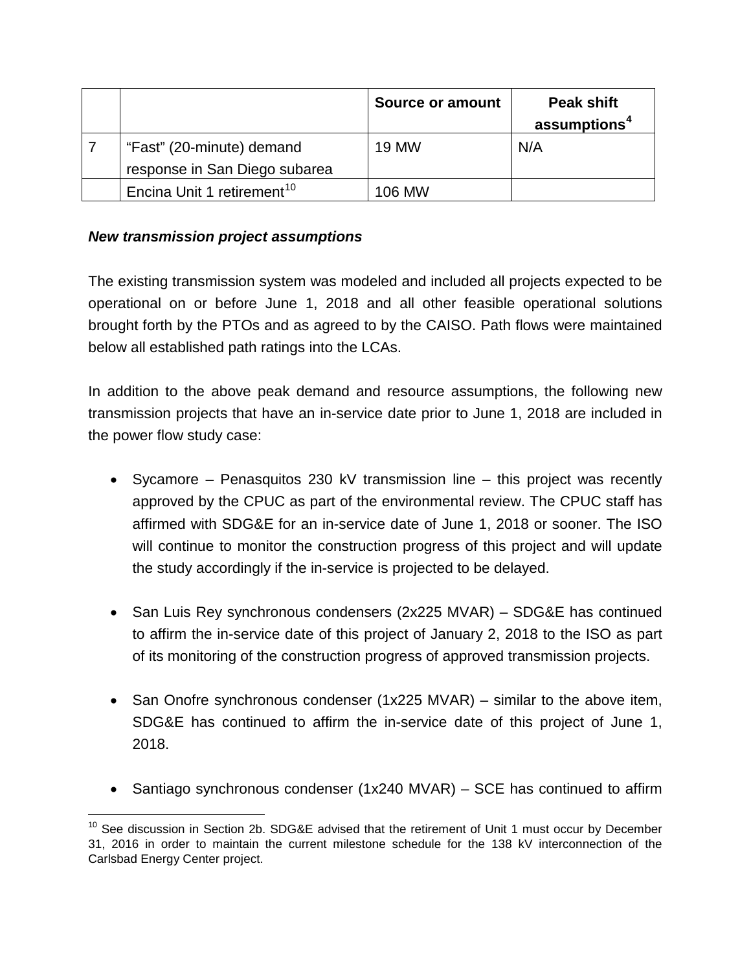|                                        | <b>Source or amount</b> | <b>Peak shift</b><br>assumptions <sup>4</sup> |
|----------------------------------------|-------------------------|-----------------------------------------------|
| "Fast" (20-minute) demand              | <b>19 MW</b>            | N/A                                           |
| response in San Diego subarea          |                         |                                               |
| Encina Unit 1 retirement <sup>10</sup> | 106 MW                  |                                               |

## *New transmission project assumptions*

The existing transmission system was modeled and included all projects expected to be operational on or before June 1, 2018 and all other feasible operational solutions brought forth by the PTOs and as agreed to by the CAISO. Path flows were maintained below all established path ratings into the LCAs.

In addition to the above peak demand and resource assumptions, the following new transmission projects that have an in-service date prior to June 1, 2018 are included in the power flow study case:

- Sycamore Penasquitos 230 kV transmission line this project was recently approved by the CPUC as part of the environmental review. The CPUC staff has affirmed with SDG&E for an in-service date of June 1, 2018 or sooner. The ISO will continue to monitor the construction progress of this project and will update the study accordingly if the in-service is projected to be delayed.
- San Luis Rey synchronous condensers (2x225 MVAR) SDG&E has continued to affirm the in-service date of this project of January 2, 2018 to the ISO as part of its monitoring of the construction progress of approved transmission projects.
- San Onofre synchronous condenser (1x225 MVAR) similar to the above item, SDG&E has continued to affirm the in-service date of this project of June 1, 2018.
- Santiago synchronous condenser (1x240 MVAR) SCE has continued to affirm

<span id="page-12-0"></span> $10$  See discussion in Section 2b. SDG&E advised that the retirement of Unit 1 must occur by December 31, 2016 in order to maintain the current milestone schedule for the 138 kV interconnection of the Carlsbad Energy Center project.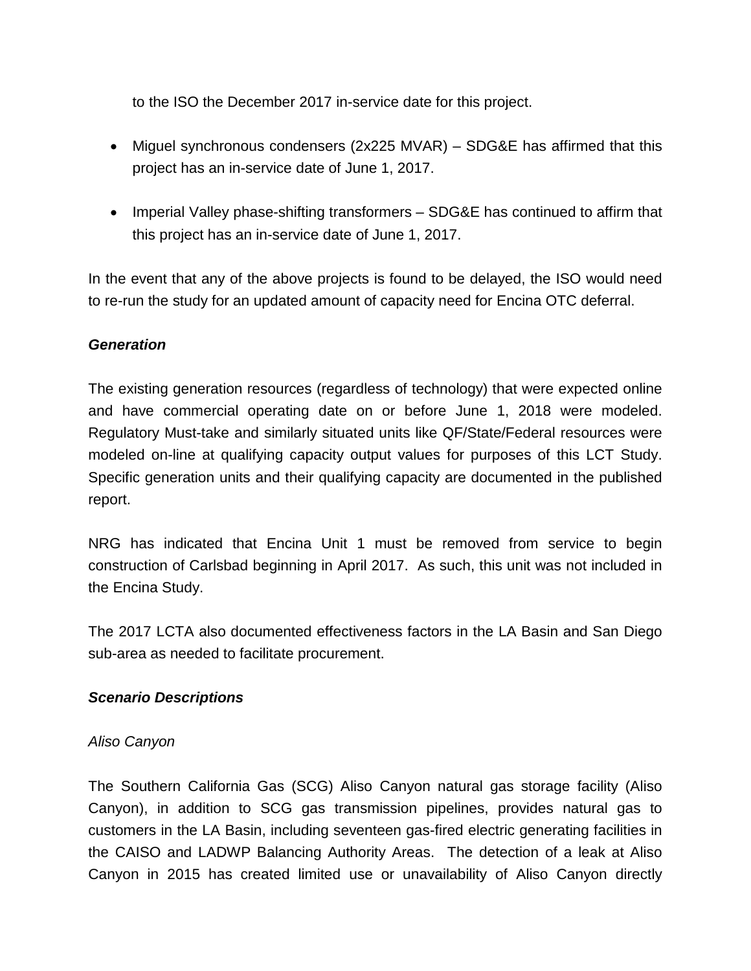to the ISO the December 2017 in-service date for this project.

- Miguel synchronous condensers (2x225 MVAR) SDG&E has affirmed that this project has an in-service date of June 1, 2017.
- Imperial Valley phase-shifting transformers SDG&E has continued to affirm that this project has an in-service date of June 1, 2017.

In the event that any of the above projects is found to be delayed, the ISO would need to re-run the study for an updated amount of capacity need for Encina OTC deferral.

## *Generation*

The existing generation resources (regardless of technology) that were expected online and have commercial operating date on or before June 1, 2018 were modeled. Regulatory Must-take and similarly situated units like QF/State/Federal resources were modeled on-line at qualifying capacity output values for purposes of this LCT Study. Specific generation units and their qualifying capacity are documented in the published report.

NRG has indicated that Encina Unit 1 must be removed from service to begin construction of Carlsbad beginning in April 2017. As such, this unit was not included in the Encina Study.

The 2017 LCTA also documented effectiveness factors in the LA Basin and San Diego sub-area as needed to facilitate procurement.

#### *Scenario Descriptions*

#### *Aliso Canyon*

The Southern California Gas (SCG) Aliso Canyon natural gas storage facility (Aliso Canyon), in addition to SCG gas transmission pipelines, provides natural gas to customers in the LA Basin, including seventeen gas-fired electric generating facilities in the CAISO and LADWP Balancing Authority Areas. The detection of a leak at Aliso Canyon in 2015 has created limited use or unavailability of Aliso Canyon directly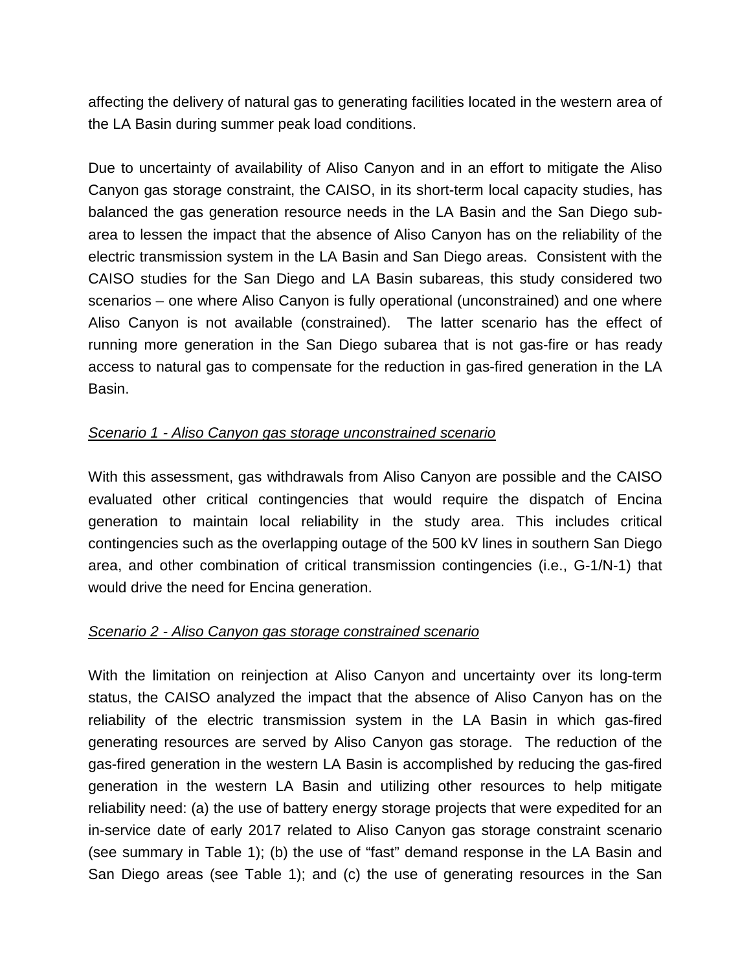affecting the delivery of natural gas to generating facilities located in the western area of the LA Basin during summer peak load conditions.

Due to uncertainty of availability of Aliso Canyon and in an effort to mitigate the Aliso Canyon gas storage constraint, the CAISO, in its short-term local capacity studies, has balanced the gas generation resource needs in the LA Basin and the San Diego subarea to lessen the impact that the absence of Aliso Canyon has on the reliability of the electric transmission system in the LA Basin and San Diego areas. Consistent with the CAISO studies for the San Diego and LA Basin subareas, this study considered two scenarios – one where Aliso Canyon is fully operational (unconstrained) and one where Aliso Canyon is not available (constrained). The latter scenario has the effect of running more generation in the San Diego subarea that is not gas-fire or has ready access to natural gas to compensate for the reduction in gas-fired generation in the LA Basin.

#### *Scenario 1 - Aliso Canyon gas storage unconstrained scenario*

With this assessment, gas withdrawals from Aliso Canyon are possible and the CAISO evaluated other critical contingencies that would require the dispatch of Encina generation to maintain local reliability in the study area. This includes critical contingencies such as the overlapping outage of the 500 kV lines in southern San Diego area, and other combination of critical transmission contingencies (i.e., G-1/N-1) that would drive the need for Encina generation.

#### *Scenario 2 - Aliso Canyon gas storage constrained scenario*

With the limitation on reinjection at Aliso Canyon and uncertainty over its long-term status, the CAISO analyzed the impact that the absence of Aliso Canyon has on the reliability of the electric transmission system in the LA Basin in which gas-fired generating resources are served by Aliso Canyon gas storage. The reduction of the gas-fired generation in the western LA Basin is accomplished by reducing the gas-fired generation in the western LA Basin and utilizing other resources to help mitigate reliability need: (a) the use of battery energy storage projects that were expedited for an in-service date of early 2017 related to Aliso Canyon gas storage constraint scenario (see summary in Table 1); (b) the use of "fast" demand response in the LA Basin and San Diego areas (see Table 1); and (c) the use of generating resources in the San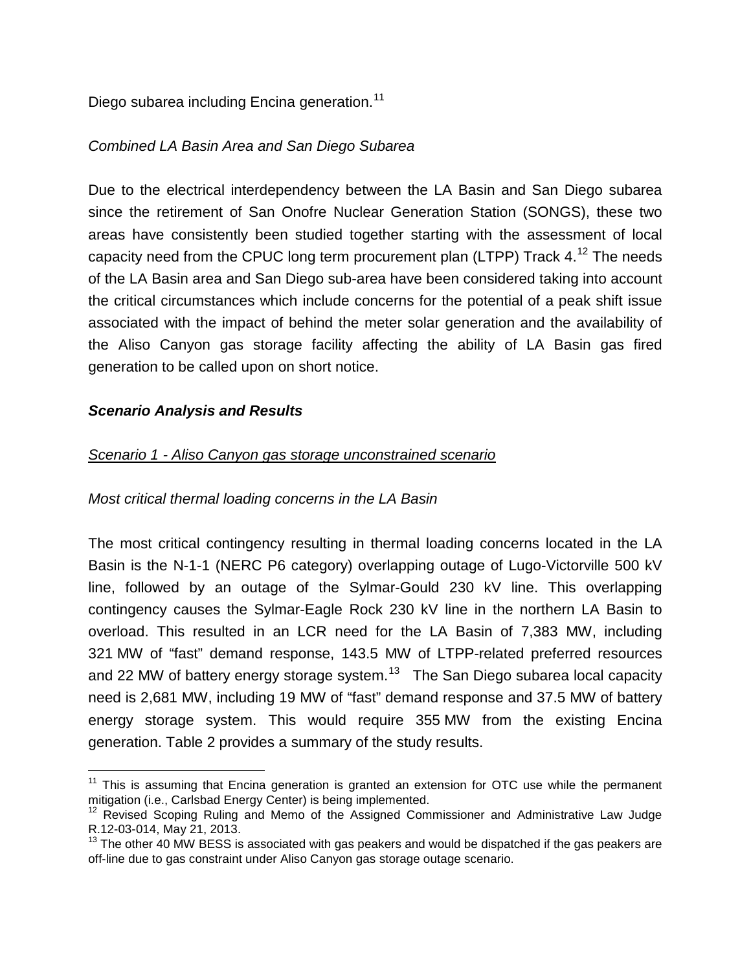Diego subarea including Encina generation.<sup>[11](#page-15-0)</sup>

## *Combined LA Basin Area and San Diego Subarea*

Due to the electrical interdependency between the LA Basin and San Diego subarea since the retirement of San Onofre Nuclear Generation Station (SONGS), these two areas have consistently been studied together starting with the assessment of local capacity need from the CPUC long term procurement plan (LTPP) Track  $4.^{12}$  $4.^{12}$  $4.^{12}$  The needs of the LA Basin area and San Diego sub-area have been considered taking into account the critical circumstances which include concerns for the potential of a peak shift issue associated with the impact of behind the meter solar generation and the availability of the Aliso Canyon gas storage facility affecting the ability of LA Basin gas fired generation to be called upon on short notice.

#### *Scenario Analysis and Results*

## *Scenario 1 - Aliso Canyon gas storage unconstrained scenario*

## *Most critical thermal loading concerns in the LA Basin*

The most critical contingency resulting in thermal loading concerns located in the LA Basin is the N-1-1 (NERC P6 category) overlapping outage of Lugo-Victorville 500 kV line, followed by an outage of the Sylmar-Gould 230 kV line. This overlapping contingency causes the Sylmar-Eagle Rock 230 kV line in the northern LA Basin to overload. This resulted in an LCR need for the LA Basin of 7,383 MW, including 321 MW of "fast" demand response, 143.5 MW of LTPP-related preferred resources and 22 MW of battery energy storage system.<sup>13</sup> The San Diego subarea local capacity need is 2,681 MW, including 19 MW of "fast" demand response and 37.5 MW of battery energy storage system. This would require 355 MW from the existing Encina generation. Table 2 provides a summary of the study results.

<span id="page-15-0"></span> $11$  This is assuming that Encina generation is granted an extension for OTC use while the permanent mitigation (i.e., Carlsbad Energy Center) is being implemented.

<span id="page-15-1"></span> $12$  Revised Scoping Ruling and Memo of the Assigned Commissioner and Administrative Law Judge R.12-03-014, May 21, 2013.

<span id="page-15-2"></span> $13$  The other 40 MW BESS is associated with gas peakers and would be dispatched if the gas peakers are off-line due to gas constraint under Aliso Canyon gas storage outage scenario.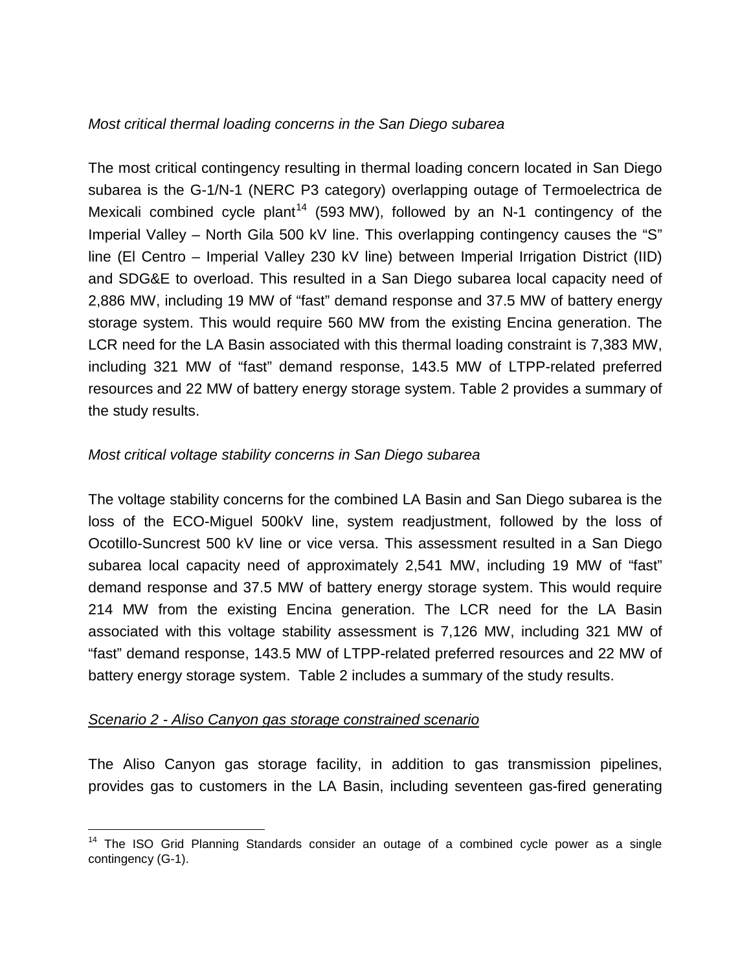## *Most critical thermal loading concerns in the San Diego subarea*

The most critical contingency resulting in thermal loading concern located in San Diego subarea is the G-1/N-1 (NERC P3 category) overlapping outage of Termoelectrica de Mexicali combined cycle plant<sup>[14](#page-16-0)</sup> (593 MW), followed by an N-1 contingency of the Imperial Valley – North Gila 500 kV line. This overlapping contingency causes the "S" line (El Centro – Imperial Valley 230 kV line) between Imperial Irrigation District (IID) and SDG&E to overload. This resulted in a San Diego subarea local capacity need of 2,886 MW, including 19 MW of "fast" demand response and 37.5 MW of battery energy storage system. This would require 560 MW from the existing Encina generation. The LCR need for the LA Basin associated with this thermal loading constraint is 7,383 MW, including 321 MW of "fast" demand response, 143.5 MW of LTPP-related preferred resources and 22 MW of battery energy storage system. Table 2 provides a summary of the study results.

## *Most critical voltage stability concerns in San Diego subarea*

The voltage stability concerns for the combined LA Basin and San Diego subarea is the loss of the ECO-Miguel 500kV line, system readjustment, followed by the loss of Ocotillo-Suncrest 500 kV line or vice versa. This assessment resulted in a San Diego subarea local capacity need of approximately 2,541 MW, including 19 MW of "fast" demand response and 37.5 MW of battery energy storage system. This would require 214 MW from the existing Encina generation. The LCR need for the LA Basin associated with this voltage stability assessment is 7,126 MW, including 321 MW of "fast" demand response, 143.5 MW of LTPP-related preferred resources and 22 MW of battery energy storage system. Table 2 includes a summary of the study results.

#### *Scenario 2 - Aliso Canyon gas storage constrained scenario*

The Aliso Canyon gas storage facility, in addition to gas transmission pipelines, provides gas to customers in the LA Basin, including seventeen gas-fired generating

<span id="page-16-0"></span><sup>&</sup>lt;sup>14</sup> The ISO Grid Planning Standards consider an outage of a combined cycle power as a single contingency (G-1).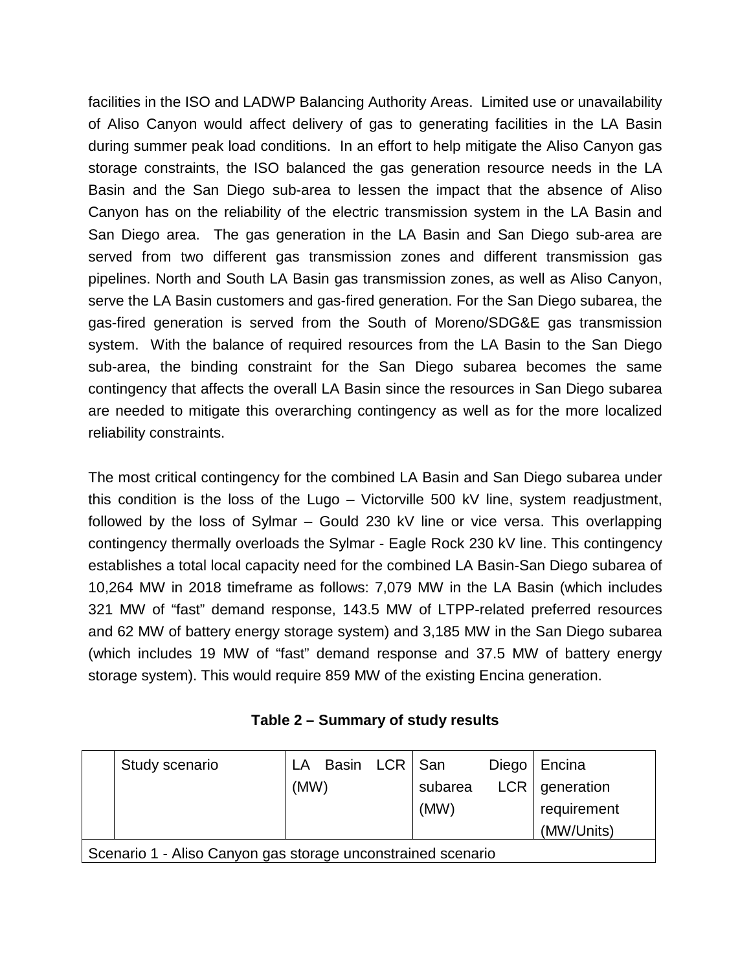facilities in the ISO and LADWP Balancing Authority Areas. Limited use or unavailability of Aliso Canyon would affect delivery of gas to generating facilities in the LA Basin during summer peak load conditions. In an effort to help mitigate the Aliso Canyon gas storage constraints, the ISO balanced the gas generation resource needs in the LA Basin and the San Diego sub-area to lessen the impact that the absence of Aliso Canyon has on the reliability of the electric transmission system in the LA Basin and San Diego area. The gas generation in the LA Basin and San Diego sub-area are served from two different gas transmission zones and different transmission gas pipelines. North and South LA Basin gas transmission zones, as well as Aliso Canyon, serve the LA Basin customers and gas-fired generation. For the San Diego subarea, the gas-fired generation is served from the South of Moreno/SDG&E gas transmission system. With the balance of required resources from the LA Basin to the San Diego sub-area, the binding constraint for the San Diego subarea becomes the same contingency that affects the overall LA Basin since the resources in San Diego subarea are needed to mitigate this overarching contingency as well as for the more localized reliability constraints.

The most critical contingency for the combined LA Basin and San Diego subarea under this condition is the loss of the Lugo – Victorville 500 kV line, system readjustment, followed by the loss of Sylmar – Gould 230 kV line or vice versa. This overlapping contingency thermally overloads the Sylmar - Eagle Rock 230 kV line. This contingency establishes a total local capacity need for the combined LA Basin-San Diego subarea of 10,264 MW in 2018 timeframe as follows: 7,079 MW in the LA Basin (which includes 321 MW of "fast" demand response, 143.5 MW of LTPP-related preferred resources and 62 MW of battery energy storage system) and 3,185 MW in the San Diego subarea (which includes 19 MW of "fast" demand response and 37.5 MW of battery energy storage system). This would require 859 MW of the existing Encina generation.

| Table 2 - Summary of study results |  |
|------------------------------------|--|
|------------------------------------|--|

|                                                              | Study scenario |      | LA Basin LCR San |  |         | Diego   Encina     |
|--------------------------------------------------------------|----------------|------|------------------|--|---------|--------------------|
|                                                              |                | (MW) |                  |  | subarea | $LCR$   generation |
|                                                              |                |      |                  |  | (MW)    | requirement        |
|                                                              |                |      |                  |  |         | (MW/Units)         |
| Scenario 1 - Aliso Canyon gas storage unconstrained scenario |                |      |                  |  |         |                    |